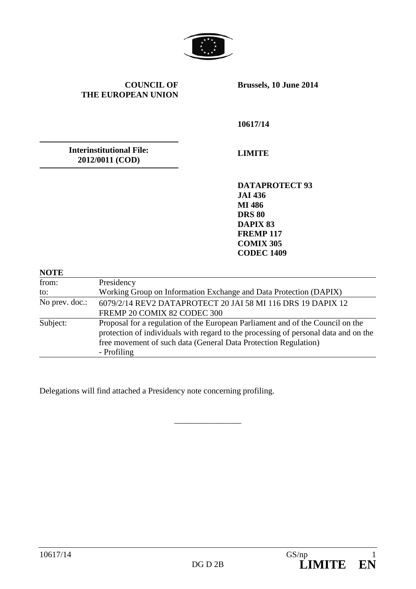

**COUNCIL OF THE EUROPEAN UNION**

**Brussels, 10 June 2014**

**10617/14** 

**Interinstitutional File: 2012/0011 (COD)**

**LIMITE**

**DATAPROTECT 93 JAI 436 MI 486 DRS 80 DAPIX 83 FREMP 117 COMIX 305 CODEC 1409**

| <b>NOTE</b>    |                                                                                                                                                                                                                                                         |
|----------------|---------------------------------------------------------------------------------------------------------------------------------------------------------------------------------------------------------------------------------------------------------|
| from:          | Presidency                                                                                                                                                                                                                                              |
| to:            | Working Group on Information Exchange and Data Protection (DAPIX)                                                                                                                                                                                       |
| No prev. doc.: | 6079/2/14 REV2 DATAPROTECT 20 JAI 58 MI 116 DRS 19 DAPIX 12<br>FREMP 20 COMIX 82 CODEC 300                                                                                                                                                              |
| Subject:       | Proposal for a regulation of the European Parliament and of the Council on the<br>protection of individuals with regard to the processing of personal data and on the<br>free movement of such data (General Data Protection Regulation)<br>- Profiling |

\_\_\_\_\_\_\_\_\_\_\_\_\_\_\_\_

Delegations will find attached a Presidency note concerning profiling.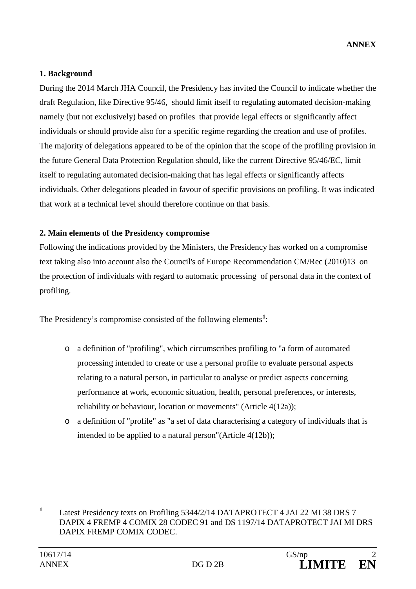## **1. Background**

During the 2014 March JHA Council, the Presidency has invited the Council to indicate whether the draft Regulation, like Directive 95/46, should limit itself to regulating automated decision-making namely (but not exclusively) based on profiles that provide legal effects or significantly affect individuals or should provide also for a specific regime regarding the creation and use of profiles. The majority of delegations appeared to be of the opinion that the scope of the profiling provision in the future General Data Protection Regulation should, like the current Directive 95/46/EC, limit itself to regulating automated decision-making that has legal effects or significantly affects individuals. Other delegations pleaded in favour of specific provisions on profiling. It was indicated that work at a technical level should therefore continue on that basis.

## **2. Main elements of the Presidency compromise**

Following the indications provided by the Ministers, the Presidency has worked on a compromise text taking also into account also the Council's of Europe Recommendation CM/Rec (2010)13 on the protection of individuals with regard to automatic processing of personal data in the context of profiling.

The Presidency's compromise consisted of the following elements**[1](#page-1-0)** :

- o a definition of "profiling", which circumscribes profiling to "a form of automated processing intended to create or use a personal profile to evaluate personal aspects relating to a natural person, in particular to analyse or predict aspects concerning performance at work, economic situation, health, personal preferences, or interests, reliability or behaviour, location or movements" (Article 4(12a));
- o a definition of "profile" as "a set of data characterising a category of individuals that is intended to be applied to a natural person"(Article 4(12b));

<span id="page-1-0"></span>**<sup>1</sup>** Latest Presidency texts on Profiling 5344/2/14 DATAPROTECT 4 JAI 22 MI 38 DRS 7 DAPIX 4 FREMP 4 COMIX 28 CODEC 91 and DS 1197/14 DATAPROTECT JAI MI DRS DAPIX FREMP COMIX CODEC.  $\mathbf{1}$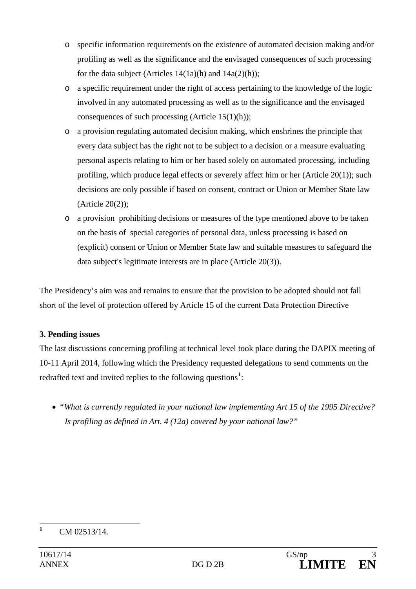- o specific information requirements on the existence of automated decision making and/or profiling as well as the significance and the envisaged consequences of such processing for the data subject (Articles  $14(1a)(h)$  and  $14a(2)(h)$ );
- o a specific requirement under the right of access pertaining to the knowledge of the logic involved in any automated processing as well as to the significance and the envisaged consequences of such processing (Article 15(1)(h));
- o a provision regulating automated decision making, which enshrines the principle that every data subject has the right not to be subject to a decision or a measure evaluating personal aspects relating to him or her based solely on automated processing, including profiling, which produce legal effects or severely affect him or her (Article 20(1)); such decisions are only possible if based on consent, contract or Union or Member State law (Article 20(2));
- o a provision prohibiting decisions or measures of the type mentioned above to be taken on the basis of special categories of personal data, unless processing is based on (explicit) consent or Union or Member State law and suitable measures to safeguard the data subject's legitimate interests are in place (Article 20(3)).

The Presidency's aim was and remains to ensure that the provision to be adopted should not fall short of the level of protection offered by Article 15 of the current Data Protection Directive

## **3. Pending issues**

The last discussions concerning profiling at technical level took place during the DAPIX meeting of 10-11 April 2014, following which the Presidency requested delegations to send comments on the redrafted text and invited replies to the following questions<sup>[1](#page-2-0)</sup>:

• *"What is currently regulated in your national law implementing Art 15 of the 1995 Directive? Is profiling as defined in Art. 4 (12a) covered by your national law?"*

<span id="page-2-0"></span>**<sup>1</sup>** CM 02513/14.  $\mathbf{1}$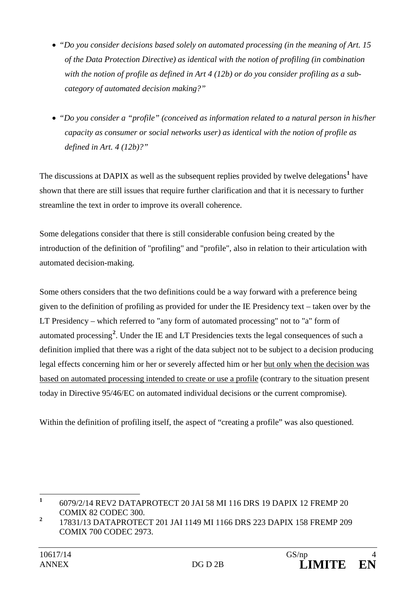- *"Do you consider decisions based solely on automated processing (in the meaning of Art. 15 of the Data Protection Directive) as identical with the notion of profiling (in combination with the notion of profile as defined in Art 4 (12b) or do you consider profiling as a subcategory of automated decision making?"*
- *"Do you consider a "profile" (conceived as information related to a natural person in his/her capacity as consumer or social networks user) as identical with the notion of profile as defined in Art. 4 (12b)?"*

The discussions at DAPIX as well as the subsequent replies provided by twelve delegations**[1](#page-3-0)** have shown that there are still issues that require further clarification and that it is necessary to further streamline the text in order to improve its overall coherence.

Some delegations consider that there is still considerable confusion being created by the introduction of the definition of "profiling" and "profile", also in relation to their articulation with automated decision-making.

Some others considers that the two definitions could be a way forward with a preference being given to the definition of profiling as provided for under the IE Presidency text – taken over by the LT Presidency – which referred to "any form of automated processing" not to "a" form of automated processing**[2](#page-3-1)** . Under the IE and LT Presidencies texts the legal consequences of such a definition implied that there was a right of the data subject not to be subject to a decision producing legal effects concerning him or her or severely affected him or her but only when the decision was based on automated processing intended to create or use a profile (contrary to the situation present today in Directive 95/46/EC on automated individual decisions or the current compromise).

Within the definition of profiling itself, the aspect of "creating a profile" was also questioned.

<span id="page-3-0"></span>**<sup>1</sup>** 6079/2/14 REV2 DATAPROTECT 20 JAI 58 MI 116 DRS 19 DAPIX 12 FREMP 20 COMIX 82 CODEC 300.  $\mathbf{1}$ 

<span id="page-3-1"></span>**<sup>2</sup>** 17831/13 DATAPROTECT 201 JAI 1149 MI 1166 DRS 223 DAPIX 158 FREMP 209 COMIX 700 CODEC 2973.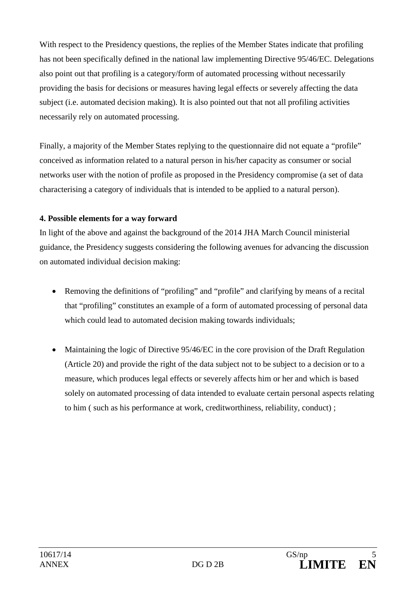With respect to the Presidency questions, the replies of the Member States indicate that profiling has not been specifically defined in the national law implementing Directive 95/46/EC. Delegations also point out that profiling is a category/form of automated processing without necessarily providing the basis for decisions or measures having legal effects or severely affecting the data subject (i.e. automated decision making). It is also pointed out that not all profiling activities necessarily rely on automated processing.

Finally, a majority of the Member States replying to the questionnaire did not equate a "profile" conceived as information related to a natural person in his/her capacity as consumer or social networks user with the notion of profile as proposed in the Presidency compromise (a set of data characterising a category of individuals that is intended to be applied to a natural person).

## **4. Possible elements for a way forward**

In light of the above and against the background of the 2014 JHA March Council ministerial guidance, the Presidency suggests considering the following avenues for advancing the discussion on automated individual decision making:

- Removing the definitions of "profiling" and "profile" and clarifying by means of a recital that "profiling" constitutes an example of a form of automated processing of personal data which could lead to automated decision making towards individuals;
- Maintaining the logic of Directive 95/46/EC in the core provision of the Draft Regulation (Article 20) and provide the right of the data subject not to be subject to a decision or to a measure, which produces legal effects or severely affects him or her and which is based solely on automated processing of data intended to evaluate certain personal aspects relating to him ( such as his performance at work, creditworthiness, reliability, conduct) ;